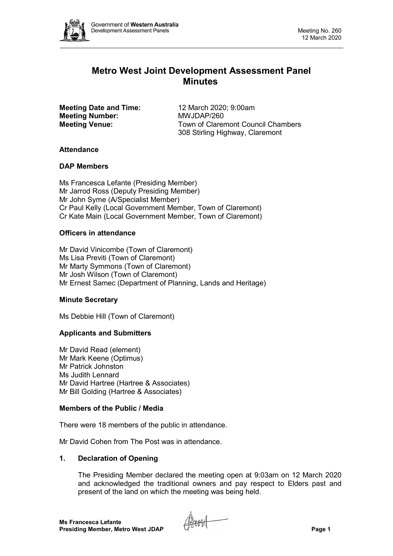

# **Metro West Joint Development Assessment Panel Minutes**

**Meeting Date and Time:** 12 March 2020; 9:00am<br> **Meeting Number:** MWJDAP/260 **Meeting Number:** 

**Meeting Venue:** Town of Claremont Council Chambers 308 Stirling Highway, Claremont

## **Attendance**

### **DAP Members**

Ms Francesca Lefante (Presiding Member) Mr Jarrod Ross (Deputy Presiding Member) Mr John Syme (A/Specialist Member) Cr Paul Kelly (Local Government Member, Town of Claremont) Cr Kate Main (Local Government Member, Town of Claremont)

## **Officers in attendance**

Mr David Vinicombe (Town of Claremont) Ms Lisa Previti (Town of Claremont) Mr Marty Symmons (Town of Claremont) Mr Josh Wilson (Town of Claremont) Mr Ernest Samec (Department of Planning, Lands and Heritage)

### **Minute Secretary**

Ms Debbie Hill (Town of Claremont)

## **Applicants and Submitters**

Mr David Read (element) Mr Mark Keene (Optimus) Mr Patrick Johnston Ms Judith Lennard Mr David Hartree (Hartree & Associates) Mr Bill Golding (Hartree & Associates)

### **Members of the Public / Media**

There were 18 members of the public in attendance.

Mr David Cohen from The Post was in attendance.

## **1. Declaration of Opening**

The Presiding Member declared the meeting open at 9:03am on 12 March 2020 and acknowledged the traditional owners and pay respect to Elders past and present of the land on which the meeting was being held.

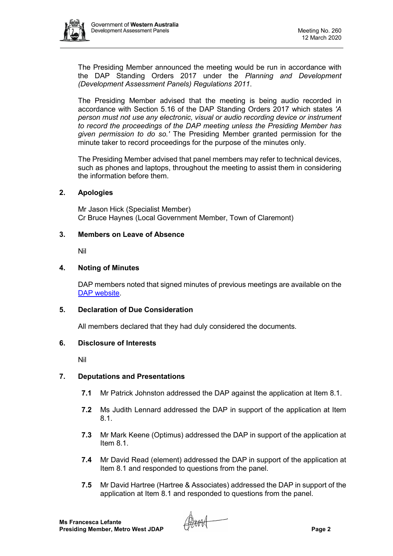

The Presiding Member announced the meeting would be run in accordance with the DAP Standing Orders 2017 under the *Planning and Development (Development Assessment Panels) Regulations 2011*.

The Presiding Member advised that the meeting is being audio recorded in accordance with Section 5.16 of the DAP Standing Orders 2017 which states *'A person must not use any electronic, visual or audio recording device or instrument to record the proceedings of the DAP meeting unless the Presiding Member has given permission to do so.'* The Presiding Member granted permission for the minute taker to record proceedings for the purpose of the minutes only.

The Presiding Member advised that panel members may refer to technical devices, such as phones and laptops, throughout the meeting to assist them in considering the information before them.

#### **2. Apologies**

Mr Jason Hick (Specialist Member) Cr Bruce Haynes (Local Government Member, Town of Claremont)

#### **3. Members on Leave of Absence**

Nil

#### **4. Noting of Minutes**

DAP members noted that signed minutes of previous meetings are available on the [DAP website.](https://www.dplh.wa.gov.au/about/development-assessment-panels/daps-agendas-and-minutes)

#### **5. Declaration of Due Consideration**

All members declared that they had duly considered the documents.

#### **6. Disclosure of Interests**

Nil

### **7. Deputations and Presentations**

- **7.1** Mr Patrick Johnston addressed the DAP against the application at Item 8.1.
- **7.2** Ms Judith Lennard addressed the DAP in support of the application at Item 8.1.
- **7.3** Mr Mark Keene (Optimus) addressed the DAP in support of the application at Item 8.1.
- **7.4** Mr David Read (element) addressed the DAP in support of the application at Item 8.1 and responded to questions from the panel.
- **7.5** Mr David Hartree (Hartree & Associates) addressed the DAP in support of the application at Item 8.1 and responded to questions from the panel.

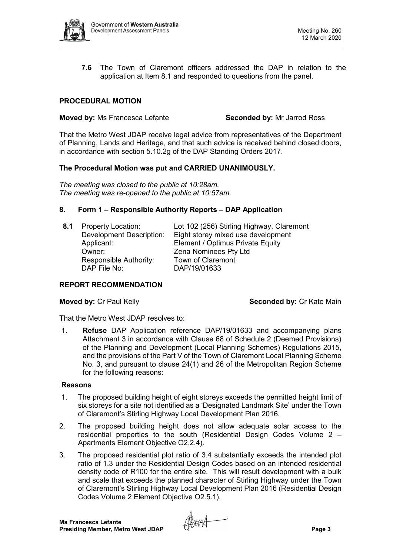

**7.6** The Town of Claremont officers addressed the DAP in relation to the application at Item 8.1 and responded to questions from the panel.

## **PROCEDURAL MOTION**

#### **Moved by:** Ms Francesca Lefante **Seconded by:** Mr Jarrod Ross

That the Metro West JDAP receive legal advice from representatives of the Department of Planning, Lands and Heritage, and that such advice is received behind closed doors, in accordance with section 5.10.2g of the DAP Standing Orders 2017.

### **The Procedural Motion was put and CARRIED UNANIMOUSLY.**

*The meeting was closed to the public at 10:28am. The meeting was re-opened to the public at 10:57am.*

### **8. Form 1 – Responsible Authority Reports – DAP Application**

**8.1** Property Location: Lot 102 (256) Stirling Highway, Claremont Development Description: Eight storey mixed use development **Element / Optimus Private Equity** Owner: Zena Nominees Pty Ltd Responsible Authority: Town of Claremont DAP File No: DAP/19/01633

### **REPORT RECOMMENDATION**

**Moved by:** Cr Paul Kelly **Seconded by:** Cr Kate Main

That the Metro West JDAP resolves to:

1. **Refuse** DAP Application reference DAP/19/01633 and accompanying plans Attachment 3 in accordance with Clause 68 of Schedule 2 (Deemed Provisions) of the Planning and Development (Local Planning Schemes) Regulations 2015, and the provisions of the Part V of the Town of Claremont Local Planning Scheme No. 3, and pursuant to clause 24(1) and 26 of the Metropolitan Region Scheme for the following reasons:

#### **Reasons**

- 1. The proposed building height of eight storeys exceeds the permitted height limit of six storeys for a site not identified as a 'Designated Landmark Site' under the Town of Claremont's Stirling Highway Local Development Plan 2016.
- 2. The proposed building height does not allow adequate solar access to the residential properties to the south (Residential Design Codes Volume 2 – Apartments Element Objective O2.2.4).
- 3. The proposed residential plot ratio of 3.4 substantially exceeds the intended plot ratio of 1.3 under the Residential Design Codes based on an intended residential density code of R100 for the entire site. This will result development with a bulk and scale that exceeds the planned character of Stirling Highway under the Town of Claremont's Stirling Highway Local Development Plan 2016 (Residential Design Codes Volume 2 Element Objective O2.5.1).